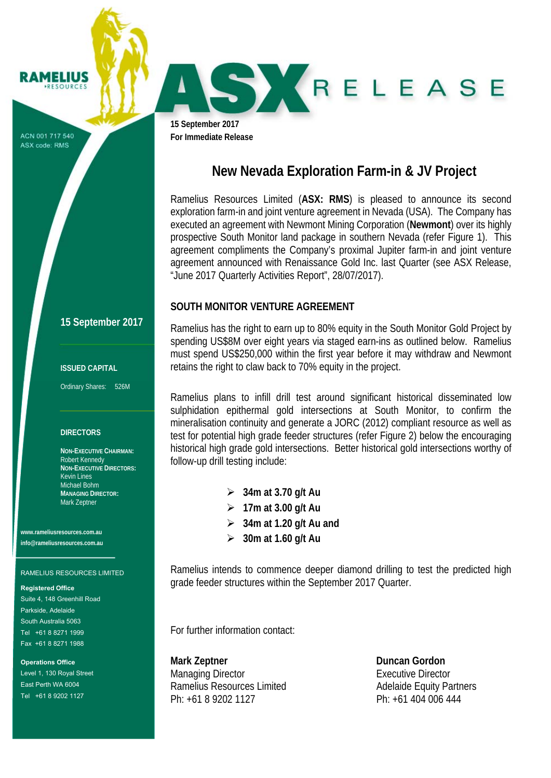ACN 001 717 540 ASX code: RMS

**RAMELIUS RESOURCES** 

SKRELEASE

**15 September 2017 For Immediate Release** 

# **New Nevada Exploration Farm-in & JV Project**

Ramelius Resources Limited (**ASX: RMS**) is pleased to announce its second exploration farm-in and joint venture agreement in Nevada (USA). The Company has executed an agreement with Newmont Mining Corporation (**Newmont**) over its highly prospective South Monitor land package in southern Nevada (refer Figure 1). This agreement compliments the Company's proximal Jupiter farm-in and joint venture agreement announced with Renaissance Gold Inc. last Quarter (see ASX Release, "June 2017 Quarterly Activities Report", 28/07/2017).

## **SOUTH MONITOR VENTURE AGREEMENT**

Ramelius has the right to earn up to 80% equity in the South Monitor Gold Project by spending US\$8M over eight years via staged earn-ins as outlined below. Ramelius must spend US\$250,000 within the first year before it may withdraw and Newmont retains the right to claw back to 70% equity in the project.

Ramelius plans to infill drill test around significant historical disseminated low sulphidation epithermal gold intersections at South Monitor, to confirm the mineralisation continuity and generate a JORC (2012) compliant resource as well as test for potential high grade feeder structures (refer Figure 2) below the encouraging historical high grade gold intersections. Better historical gold intersections worthy of follow-up drill testing include:

- **34m at 3.70 g/t Au**
- **17m at 3.00 g/t Au**
- **34m at 1.20 g/t Au and**
- **30m at 1.60 g/t Au**

Ramelius intends to commence deeper diamond drilling to test the predicted high grade feeder structures within the September 2017 Quarter.

For further information contact:

**Mark Zeptner Community Community Community Community Community Community Community Community Community Community Community Community Community Community Community Community Community Community Community Community Communit** Managing Director Executive Director Ramelius Resources Limited Adelaide Equity Partners Ph: +61 8 9202 1127 Ph: +61 404 006 444

## **15 September 2017**

### **ISSUED CAPITAL**

Ordinary Shares: 526M

### **DIRECTORS**

**NON-EXECUTIVE CHAIRMAN:**  Robert Kennedy **NON-EXECUTIVE DIRECTORS:**  Kevin Lines Michael Bohm **MANAGING DIRECTOR:**  Mark Zeptner

**www.rameliusresources.com.au info@rameliusresources.com.au** 

#### RAMELIUS RESOURCES LIMITED

#### **Registered Office**

Suite 4, 148 Greenhill Road Parkside, Adelaide South Australia 5063 Tel +61 8 8271 1999 Fax +61 8 8271 1988

**Operations Office**  Level 1, 130 Royal Street East Perth WA 6004 Tel +61 8 9202 1127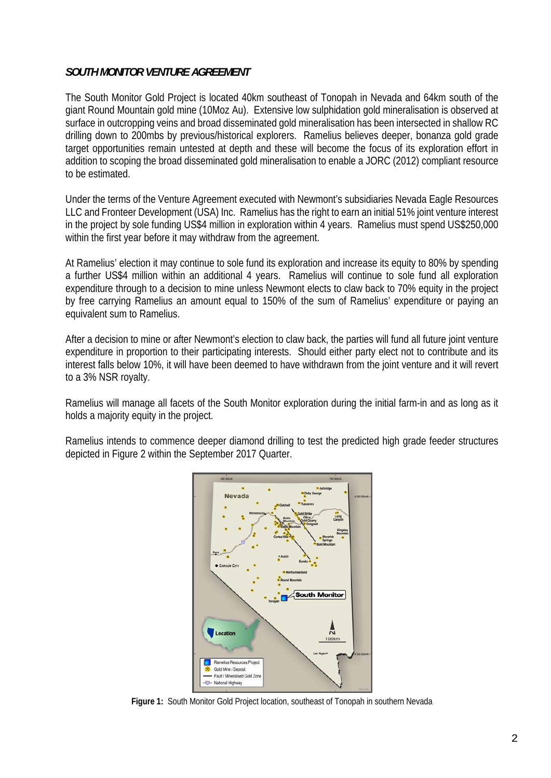# *SOUTH MONITOR VENTURE AGREEMENT*

The South Monitor Gold Project is located 40km southeast of Tonopah in Nevada and 64km south of the giant Round Mountain gold mine (10Moz Au). Extensive low sulphidation gold mineralisation is observed at surface in outcropping veins and broad disseminated gold mineralisation has been intersected in shallow RC drilling down to 200mbs by previous/historical explorers. Ramelius believes deeper, bonanza gold grade target opportunities remain untested at depth and these will become the focus of its exploration effort in addition to scoping the broad disseminated gold mineralisation to enable a JORC (2012) compliant resource to be estimated.

Under the terms of the Venture Agreement executed with Newmont's subsidiaries Nevada Eagle Resources LLC and Fronteer Development (USA) Inc. Ramelius has the right to earn an initial 51% joint venture interest in the project by sole funding US\$4 million in exploration within 4 years. Ramelius must spend US\$250,000 within the first year before it may withdraw from the agreement.

At Ramelius' election it may continue to sole fund its exploration and increase its equity to 80% by spending a further US\$4 million within an additional 4 years. Ramelius will continue to sole fund all exploration expenditure through to a decision to mine unless Newmont elects to claw back to 70% equity in the project by free carrying Ramelius an amount equal to 150% of the sum of Ramelius' expenditure or paying an equivalent sum to Ramelius.

After a decision to mine or after Newmont's election to claw back, the parties will fund all future joint venture expenditure in proportion to their participating interests. Should either party elect not to contribute and its interest falls below 10%, it will have been deemed to have withdrawn from the joint venture and it will revert to a 3% NSR royalty.

Ramelius will manage all facets of the South Monitor exploration during the initial farm-in and as long as it holds a majority equity in the project.

Ramelius intends to commence deeper diamond drilling to test the predicted high grade feeder structures depicted in Figure 2 within the September 2017 Quarter.



**Figure 1:** South Monitor Gold Project location, southeast of Tonopah in southern Nevada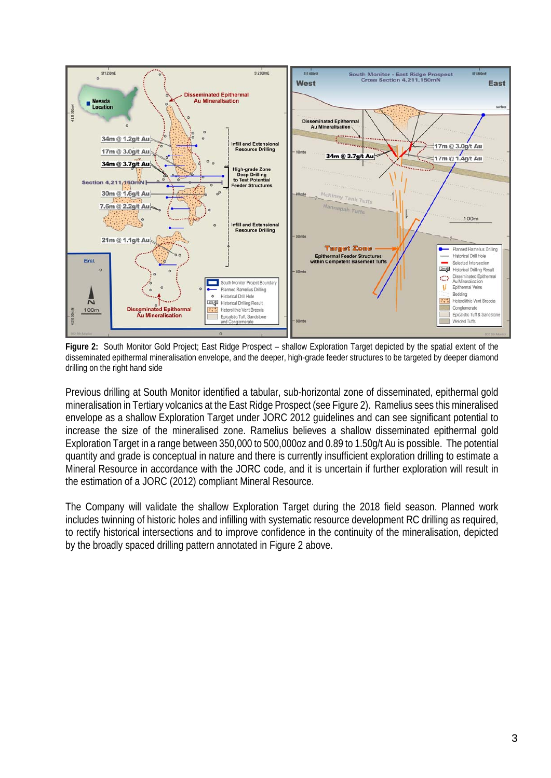

**Figure 2:** South Monitor Gold Project; East Ridge Prospect – shallow Exploration Target depicted by the spatial extent of the disseminated epithermal mineralisation envelope, and the deeper, high-grade feeder structures to be targeted by deeper diamond drilling on the right hand side

Previous drilling at South Monitor identified a tabular, sub-horizontal zone of disseminated, epithermal gold mineralisation in Tertiary volcanics at the East Ridge Prospect (see Figure 2). Ramelius sees this mineralised envelope as a shallow Exploration Target under JORC 2012 guidelines and can see significant potential to increase the size of the mineralised zone. Ramelius believes a shallow disseminated epithermal gold Exploration Target in a range between 350,000 to 500,000oz and 0.89 to 1.50g/t Au is possible. The potential quantity and grade is conceptual in nature and there is currently insufficient exploration drilling to estimate a Mineral Resource in accordance with the JORC code, and it is uncertain if further exploration will result in the estimation of a JORC (2012) compliant Mineral Resource.

The Company will validate the shallow Exploration Target during the 2018 field season. Planned work includes twinning of historic holes and infilling with systematic resource development RC drilling as required, to rectify historical intersections and to improve confidence in the continuity of the mineralisation, depicted by the broadly spaced drilling pattern annotated in Figure 2 above.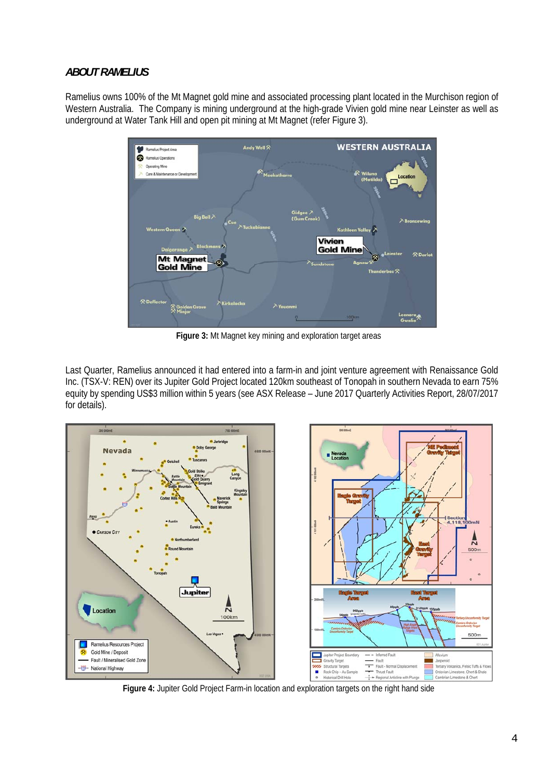## *ABOUT RAMELIUS*

Ramelius owns 100% of the Mt Magnet gold mine and associated processing plant located in the Murchison region of Western Australia. The Company is mining underground at the high-grade Vivien gold mine near Leinster as well as underground at Water Tank Hill and open pit mining at Mt Magnet (refer Figure 3).



**Figure 3:** Mt Magnet key mining and exploration target areas

Last Quarter, Ramelius announced it had entered into a farm-in and joint venture agreement with Renaissance Gold Inc. (TSX-V: REN) over its Jupiter Gold Project located 120km southeast of Tonopah in southern Nevada to earn 75% equity by spending US\$3 million within 5 years (see ASX Release – June 2017 Quarterly Activities Report, 28/07/2017 for details).



**Figure 4:** Jupiter Gold Project Farm-in location and exploration targets on the right hand side